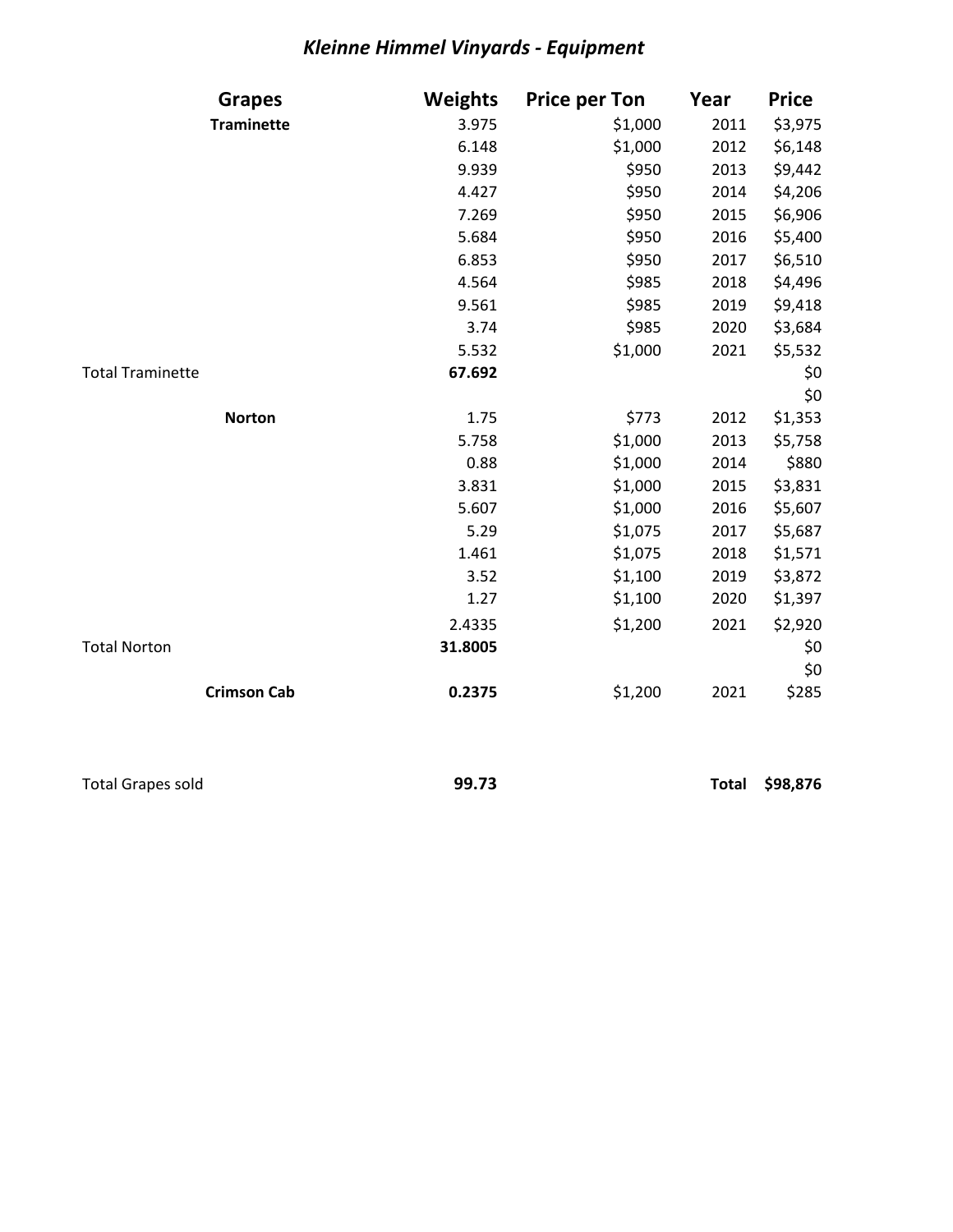## *Kleinne Himmel Vinyards - Equipment*

| <b>Grapes</b>           | <b>Weights</b> | <b>Price per Ton</b> | Year | <b>Price</b> |
|-------------------------|----------------|----------------------|------|--------------|
| <b>Traminette</b>       | 3.975          | \$1,000              | 2011 | \$3,975      |
|                         | 6.148          | \$1,000              | 2012 | \$6,148      |
|                         | 9.939          | \$950                | 2013 | \$9,442      |
|                         | 4.427          | \$950                | 2014 | \$4,206      |
|                         | 7.269          | \$950                | 2015 | \$6,906      |
|                         | 5.684          | \$950                | 2016 | \$5,400      |
|                         | 6.853          | \$950                | 2017 | \$6,510      |
|                         | 4.564          | \$985                | 2018 | \$4,496      |
|                         | 9.561          | \$985                | 2019 | \$9,418      |
|                         | 3.74           | \$985                | 2020 | \$3,684      |
|                         | 5.532          | \$1,000              | 2021 | \$5,532      |
| <b>Total Traminette</b> | 67.692         |                      |      | \$0          |
|                         |                |                      |      | \$0          |
| <b>Norton</b>           | 1.75           | \$773                | 2012 | \$1,353      |
|                         | 5.758          | \$1,000              | 2013 | \$5,758      |
|                         | 0.88           | \$1,000              | 2014 | \$880        |
|                         | 3.831          | \$1,000              | 2015 | \$3,831      |
|                         | 5.607          | \$1,000              | 2016 | \$5,607      |
|                         | 5.29           | \$1,075              | 2017 | \$5,687      |
|                         | 1.461          | \$1,075              | 2018 | \$1,571      |
|                         | 3.52           | \$1,100              | 2019 | \$3,872      |
|                         | 1.27           | \$1,100              | 2020 | \$1,397      |
|                         | 2.4335         | \$1,200              | 2021 | \$2,920      |
| <b>Total Norton</b>     | 31.8005        |                      |      | \$0          |
|                         |                |                      |      | \$0          |
| <b>Crimson Cab</b>      | 0.2375         | \$1,200              | 2021 | \$285        |

Total Grapes sold **99.73 Total \$98,876**